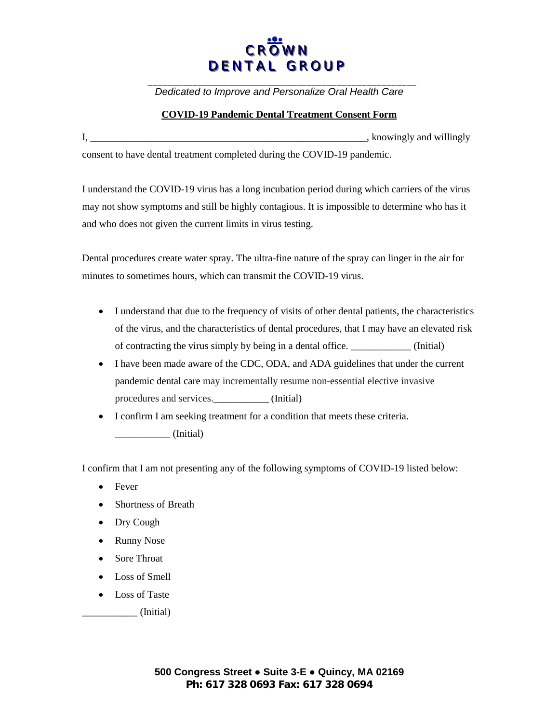## **CROWN** DENTAL GROUP

*Dedicated to Improve and Personalize Oral Health Care* 

## **COVID-19 Pandemic Dental Treatment Consent Form**

| knowingly and willingly |
|-------------------------|
|                         |

consent to have dental treatment completed during the COVID-19 pandemic.

I understand the COVID-19 virus has a long incubation period during which carriers of the virus may not show symptoms and still be highly contagious. It is impossible to determine who has it and who does not given the current limits in virus testing.

Dental procedures create water spray. The ultra-fine nature of the spray can linger in the air for minutes to sometimes hours, which can transmit the COVID-19 virus.

- I understand that due to the frequency of visits of other dental patients, the characteristics of the virus, and the characteristics of dental procedures, that I may have an elevated risk of contracting the virus simply by being in a dental office. \_\_\_\_\_\_\_\_\_\_\_\_ (Initial)
- I have been made aware of the CDC, ODA, and ADA guidelines that under the current pandemic dental care may incrementally resume non-essential elective invasive procedures and services.\_\_\_\_\_\_\_\_\_\_\_ (Initial)
- I confirm I am seeking treatment for a condition that meets these criteria. \_\_\_\_\_\_\_\_\_\_\_ (Initial)

I confirm that I am not presenting any of the following symptoms of COVID-19 listed below:

- Fever
- Shortness of Breath
- Dry Cough
- Runny Nose
- Sore Throat
- Loss of Smell
- Loss of Taste
	- $\_$  (Initial)